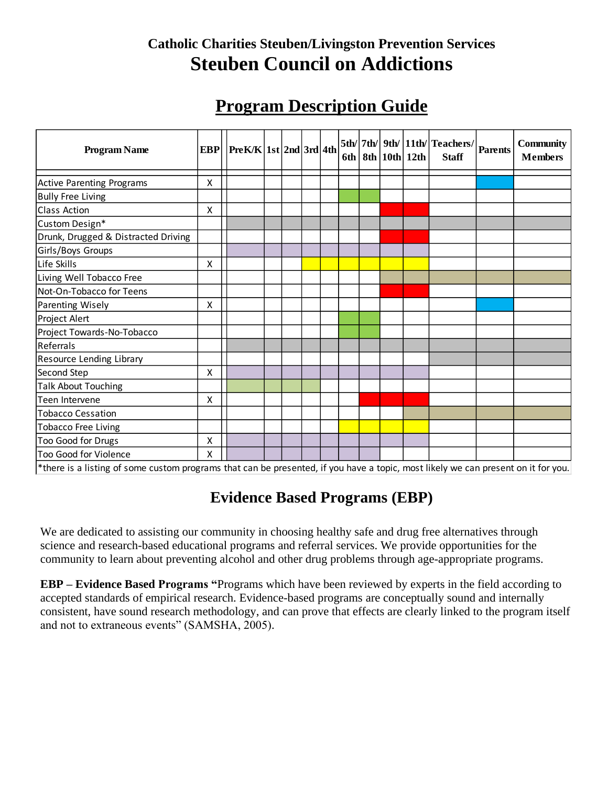# **Catholic Charities Steuben/Livingston Prevention Services Steuben Council on Addictions**

# **Program Description Guide**

| <b>Program Name</b>                 | <b>EBP</b> | Pre K/K  1st  2nd   3rd   4th |  |  | 6th |  | $8th$   10th   12th | $\left  5 \text{th} / \right  7 \text{th} / \left  9 \text{th} / \left  11 \text{th} / \right  \text{Teaches} / \left  \text{Parents} \right $<br><b>Staff</b> | <b>Community</b><br><b>Members</b> |
|-------------------------------------|------------|-------------------------------|--|--|-----|--|---------------------|----------------------------------------------------------------------------------------------------------------------------------------------------------------|------------------------------------|
| <b>Active Parenting Programs</b>    | X          |                               |  |  |     |  |                     |                                                                                                                                                                |                                    |
| <b>Bully Free Living</b>            |            |                               |  |  |     |  |                     |                                                                                                                                                                |                                    |
| <b>Class Action</b>                 | X          |                               |  |  |     |  |                     |                                                                                                                                                                |                                    |
| Custom Design*                      |            |                               |  |  |     |  |                     |                                                                                                                                                                |                                    |
| Drunk, Drugged & Distracted Driving |            |                               |  |  |     |  |                     |                                                                                                                                                                |                                    |
| Girls/Boys Groups                   |            |                               |  |  |     |  |                     |                                                                                                                                                                |                                    |
| Life Skills                         | X          |                               |  |  |     |  |                     |                                                                                                                                                                |                                    |
| Living Well Tobacco Free            |            |                               |  |  |     |  |                     |                                                                                                                                                                |                                    |
| Not-On-Tobacco for Teens            |            |                               |  |  |     |  |                     |                                                                                                                                                                |                                    |
| Parenting Wisely                    | X          |                               |  |  |     |  |                     |                                                                                                                                                                |                                    |
| Project Alert                       |            |                               |  |  |     |  |                     |                                                                                                                                                                |                                    |
| Project Towards-No-Tobacco          |            |                               |  |  |     |  |                     |                                                                                                                                                                |                                    |
| Referrals                           |            |                               |  |  |     |  |                     |                                                                                                                                                                |                                    |
| Resource Lending Library            |            |                               |  |  |     |  |                     |                                                                                                                                                                |                                    |
| Second Step                         | Χ          |                               |  |  |     |  |                     |                                                                                                                                                                |                                    |
| <b>Talk About Touching</b>          |            |                               |  |  |     |  |                     |                                                                                                                                                                |                                    |
| Teen Intervene                      | X          |                               |  |  |     |  |                     |                                                                                                                                                                |                                    |
| <b>Tobacco Cessation</b>            |            |                               |  |  |     |  |                     |                                                                                                                                                                |                                    |
| <b>Tobacco Free Living</b>          |            |                               |  |  |     |  |                     |                                                                                                                                                                |                                    |
| Too Good for Drugs                  | X          |                               |  |  |     |  |                     |                                                                                                                                                                |                                    |
| Too Good for Violence               | Χ          |                               |  |  |     |  |                     |                                                                                                                                                                |                                    |

\*there is a listing of some custom programs that can be presented, if you have a topic, most likely we can present on it for you.

# **Evidence Based Programs (EBP)**

We are dedicated to assisting our community in choosing healthy safe and drug free alternatives through science and research-based educational programs and referral services. We provide opportunities for the community to learn about preventing alcohol and other drug problems through age-appropriate programs.

**EBP – Evidence Based Programs "**Programs which have been reviewed by experts in the field according to accepted standards of empirical research. Evidence-based programs are conceptually sound and internally consistent, have sound research methodology, and can prove that effects are clearly linked to the program itself and not to extraneous events" (SAMSHA, 2005).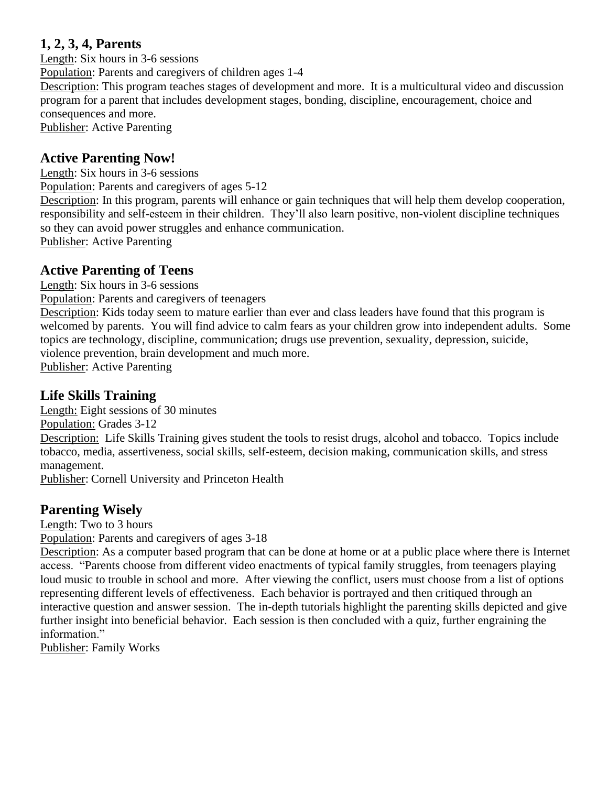### **1, 2, 3, 4, Parents**

Length: Six hours in 3-6 sessions

Population: Parents and caregivers of children ages 1-4

Description: This program teaches stages of development and more. It is a multicultural video and discussion program for a parent that includes development stages, bonding, discipline, encouragement, choice and consequences and more.

Publisher: Active Parenting

# **Active Parenting Now!**

Length: Six hours in 3-6 sessions

Population: Parents and caregivers of ages 5-12

Description: In this program, parents will enhance or gain techniques that will help them develop cooperation, responsibility and self-esteem in their children. They'll also learn positive, non-violent discipline techniques so they can avoid power struggles and enhance communication.

Publisher: Active Parenting

### **Active Parenting of Teens**

Length: Six hours in 3-6 sessions

Population: Parents and caregivers of teenagers

Description: Kids today seem to mature earlier than ever and class leaders have found that this program is welcomed by parents. You will find advice to calm fears as your children grow into independent adults. Some topics are technology, discipline, communication; drugs use prevention, sexuality, depression, suicide, violence prevention, brain development and much more.

Publisher: Active Parenting

### **Life Skills Training**

Length: Eight sessions of 30 minutes

Population: Grades 3-12

Description: Life Skills Training gives student the tools to resist drugs, alcohol and tobacco. Topics include tobacco, media, assertiveness, social skills, self-esteem, decision making, communication skills, and stress management.

Publisher: Cornell University and Princeton Health

# **Parenting Wisely**

Length: Two to 3 hours

Population: Parents and caregivers of ages 3-18

Description: As a computer based program that can be done at home or at a public place where there is Internet access. "Parents choose from different video enactments of typical family struggles, from teenagers playing loud music to trouble in school and more. After viewing the conflict, users must choose from a list of options representing different levels of effectiveness. Each behavior is portrayed and then critiqued through an interactive question and answer session. The in-depth tutorials highlight the parenting skills depicted and give further insight into beneficial behavior. Each session is then concluded with a quiz, further engraining the information."

Publisher: Family Works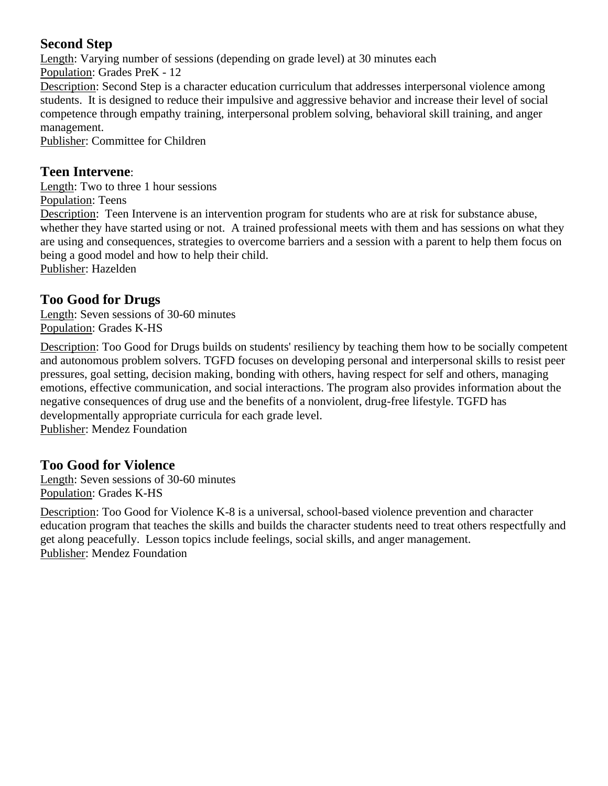# **Second Step**

Length: Varying number of sessions (depending on grade level) at 30 minutes each Population: Grades PreK - 12 Description: Second Step is a character education curriculum that addresses interpersonal violence among students. It is designed to reduce their impulsive and aggressive behavior and increase their level of social competence through empathy training, interpersonal problem solving, behavioral skill training, and anger management.

Publisher: Committee for Children

### **Teen Intervene**:

Length: Two to three 1 hour sessions Population: Teens Description: Teen Intervene is an intervention program for students who are at risk for substance abuse, whether they have started using or not. A trained professional meets with them and has sessions on what they are using and consequences, strategies to overcome barriers and a session with a parent to help them focus on being a good model and how to help their child. Publisher: Hazelden

# **Too Good for Drugs**

Length: Seven sessions of 30-60 minutes Population: Grades K-HS

Description: Too Good for Drugs builds on students' resiliency by teaching them how to be socially competent and autonomous problem solvers. TGFD focuses on developing personal and interpersonal skills to resist peer pressures, goal setting, decision making, bonding with others, having respect for self and others, managing emotions, effective communication, and social interactions. The program also provides information about the negative consequences of drug use and the benefits of a nonviolent, drug-free lifestyle. TGFD has developmentally appropriate curricula for each grade level. Publisher: Mendez Foundation

# **Too Good for Violence**

Length: Seven sessions of 30-60 minutes Population: Grades K-HS

Description: Too Good for Violence K-8 is a universal, school-based violence prevention and character education program that teaches the skills and builds the character students need to treat others respectfully and get along peacefully. Lesson topics include feelings, social skills, and anger management. Publisher: Mendez Foundation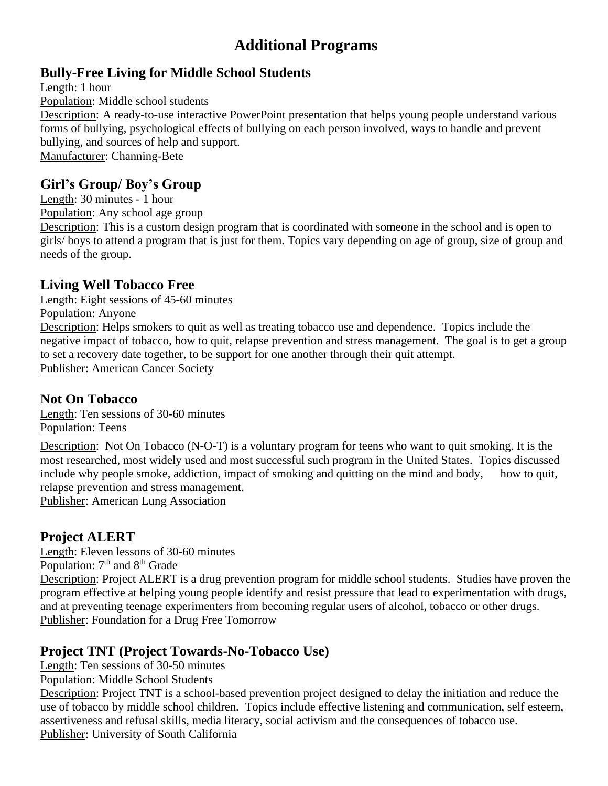# **Additional Programs**

# **Bully-Free Living for Middle School Students**

Length: 1 hour Population: Middle school students Description: A ready-to-use interactive PowerPoint presentation that helps young people understand various forms of bullying, psychological effects of bullying on each person involved, ways to handle and prevent bullying, and sources of help and support. Manufacturer: Channing-Bete

# **Girl's Group/ Boy's Group**

Length: 30 minutes - 1 hour

Population: Any school age group

Description: This is a custom design program that is coordinated with someone in the school and is open to girls/ boys to attend a program that is just for them. Topics vary depending on age of group, size of group and needs of the group.

# **Living Well Tobacco Free**

Length: Eight sessions of 45-60 minutes

Population: Anyone

Description: Helps smokers to quit as well as treating tobacco use and dependence. Topics include the negative impact of tobacco, how to quit, relapse prevention and stress management. The goal is to get a group to set a recovery date together, to be support for one another through their quit attempt. Publisher: American Cancer Society

### **Not On Tobacco**

Length: Ten sessions of 30-60 minutes Population: Teens

Description: Not On Tobacco (N-O-T) is a voluntary program for teens who want to quit smoking. It is the most researched, most widely used and most successful such program in the United States. Topics discussed include why people smoke, addiction, impact of smoking and quitting on the mind and body, how to quit, relapse prevention and stress management.

Publisher: American Lung Association

# **Project ALERT**

Length: Eleven lessons of 30-60 minutes Population:  $7<sup>th</sup>$  and  $8<sup>th</sup>$  Grade

Description: Project ALERT is a drug prevention program for middle school students. Studies have proven the program effective at helping young people identify and resist pressure that lead to experimentation with drugs, and at preventing teenage experimenters from becoming regular users of alcohol, tobacco or other drugs. Publisher: Foundation for a Drug Free Tomorrow

# **Project TNT (Project Towards-No-Tobacco Use)**

Length: Ten sessions of 30-50 minutes

Population: Middle School Students

Description: Project TNT is a school-based prevention project designed to delay the initiation and reduce the use of tobacco by middle school children. Topics include effective listening and communication, self esteem, assertiveness and refusal skills, media literacy, social activism and the consequences of tobacco use. Publisher: University of South California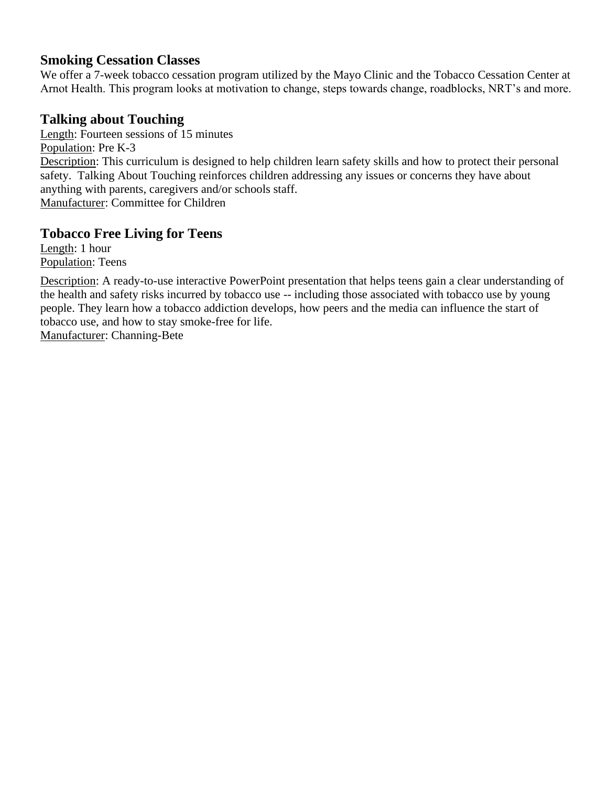### **Smoking Cessation Classes**

We offer a 7-week tobacco cessation program utilized by the Mayo Clinic and the Tobacco Cessation Center at Arnot Health. This program looks at motivation to change, steps towards change, roadblocks, NRT's and more.

# **Talking about Touching**

Length: Fourteen sessions of 15 minutes Population: Pre K-3 Description: This curriculum is designed to help children learn safety skills and how to protect their personal safety. Talking About Touching reinforces children addressing any issues or concerns they have about anything with parents, caregivers and/or schools staff. Manufacturer: Committee for Children

# **Tobacco Free Living for Teens**

Length: 1 hour Population: Teens

Description: A ready-to-use interactive PowerPoint presentation that helps teens gain a clear understanding of the health and safety risks incurred by tobacco use -- including those associated with tobacco use by young people. They learn how a tobacco addiction develops, how peers and the media can influence the start of tobacco use, and how to stay smoke-free for life.

Manufacturer: Channing-Bete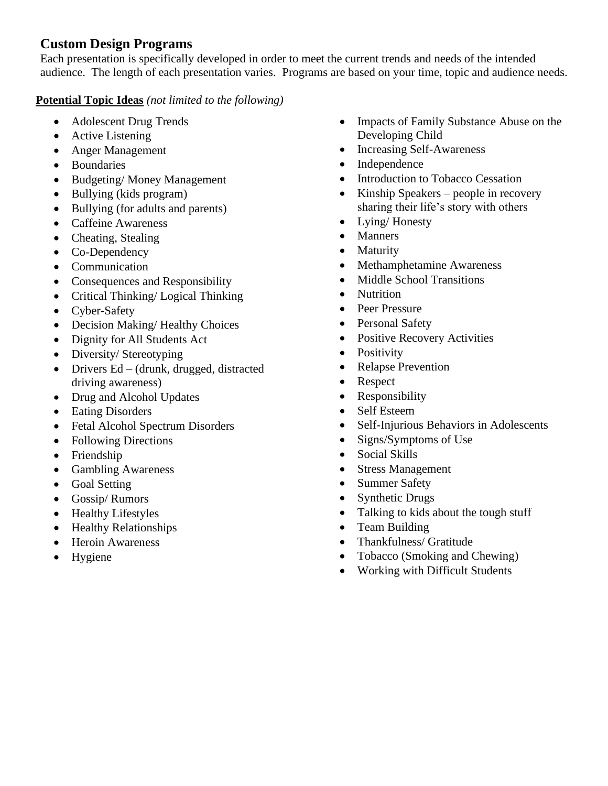### **Custom Design Programs**

Each presentation is specifically developed in order to meet the current trends and needs of the intended audience. The length of each presentation varies. Programs are based on your time, topic and audience needs.

#### **Potential Topic Ideas** *(not limited to the following)*

- Adolescent Drug Trends
- Active Listening
- Anger Management
- Boundaries
- Budgeting/ Money Management
- Bullying (kids program)
- Bullying (for adults and parents)
- Caffeine Awareness
- Cheating, Stealing
- Co-Dependency
- Communication
- Consequences and Responsibility
- Critical Thinking/ Logical Thinking
- Cyber-Safety
- Decision Making/Healthy Choices
- Dignity for All Students Act
- Diversity/Stereotyping
- Drivers Ed (drunk, drugged, distracted driving awareness)
- Drug and Alcohol Updates
- Eating Disorders
- Fetal Alcohol Spectrum Disorders
- Following Directions
- Friendship
- Gambling Awareness
- Goal Setting
- Gossip/ Rumors
- Healthy Lifestyles
- Healthy Relationships
- Heroin Awareness
- Hygiene
- Impacts of Family Substance Abuse on the Developing Child
- Increasing Self-Awareness
- Independence
- Introduction to Tobacco Cessation
- Kinship Speakers people in recovery sharing their life's story with others
- Lying/ Honesty
- Manners
- Maturity
- Methamphetamine Awareness
- Middle School Transitions
- Nutrition
- Peer Pressure
- Personal Safety
- Positive Recovery Activities
- Positivity
- Relapse Prevention
- Respect
- Responsibility
- Self Esteem
- Self-Injurious Behaviors in Adolescents
- Signs/Symptoms of Use
- Social Skills
- Stress Management
- Summer Safety
- Synthetic Drugs
- Talking to kids about the tough stuff
- Team Building
- Thankfulness/ Gratitude
- Tobacco (Smoking and Chewing)
- Working with Difficult Students